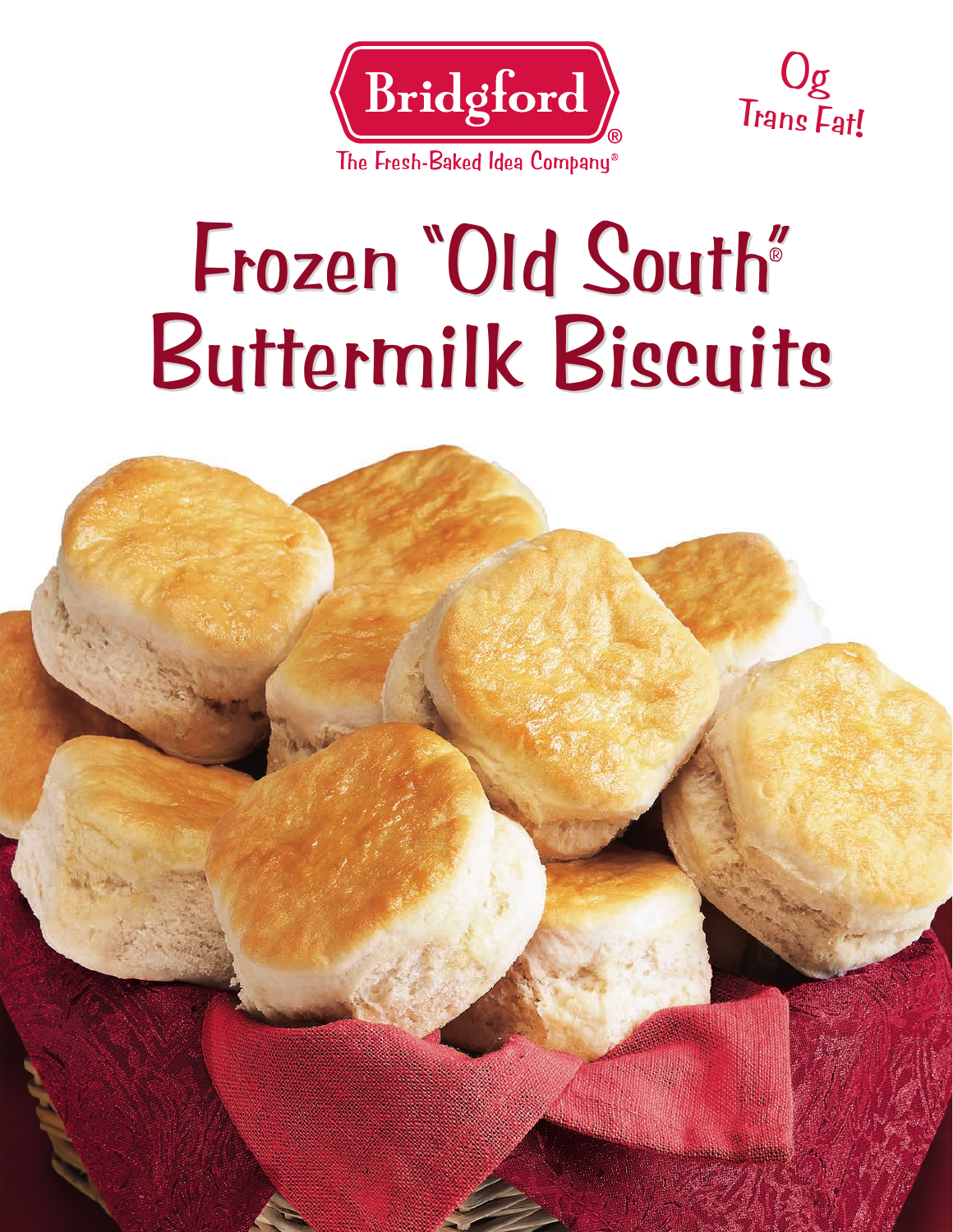



## Frozen "Old South" Frozen "Old South" Buttermilk Biscuits Buttermilk Biscuits ®

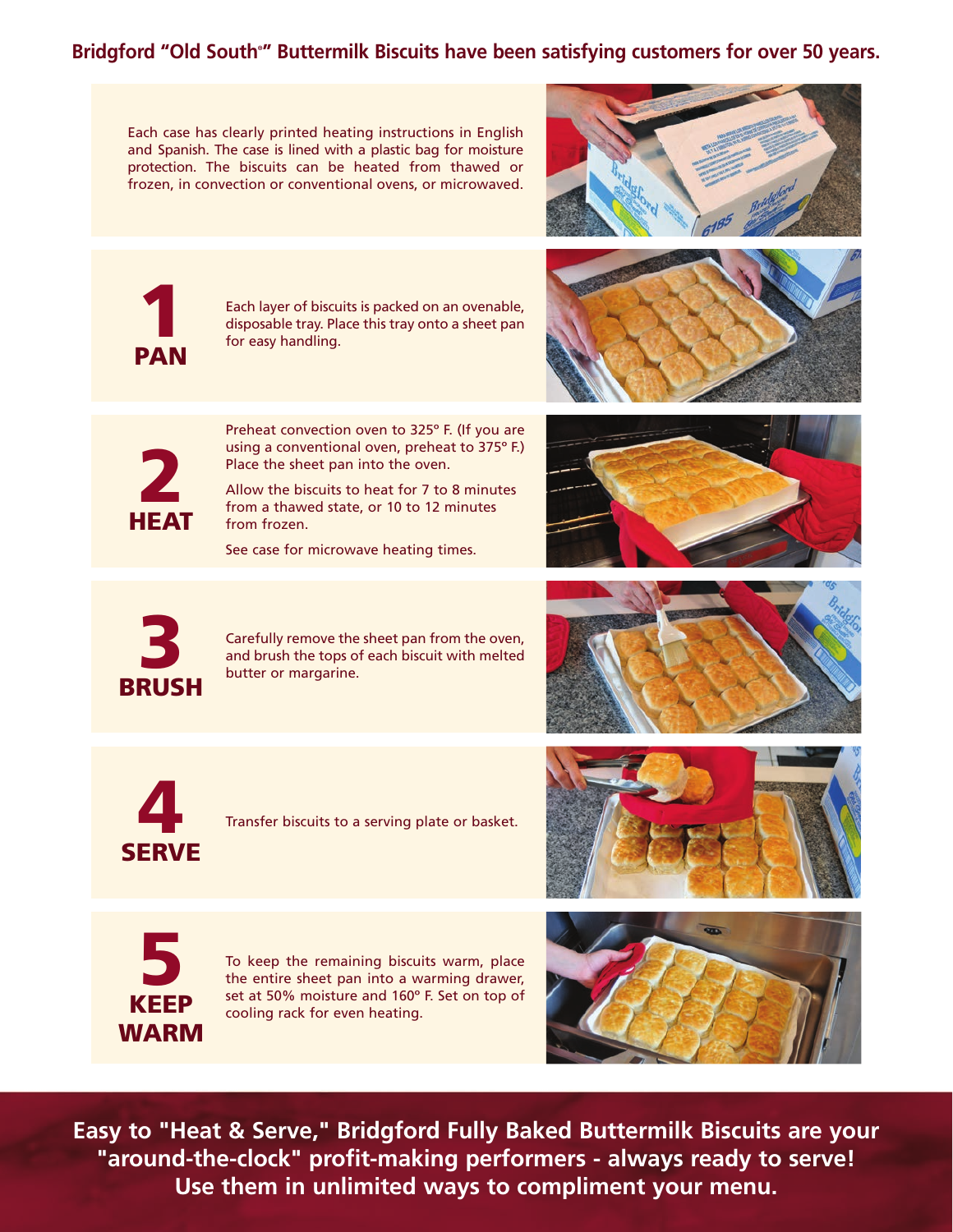## **Bridgford "Old South® " Buttermilk Biscuits have been satisfying customers for over 50 years.**

Each case has clearly printed heating instructions in English and Spanish. The case is lined with a plastic bag for moisture protection. The biscuits can be heated from thawed or frozen, in convection or conventional ovens, or microwaved.





Each layer of biscuits is packed on an ovenable, disposable tray. Place this tray onto a sheet pan for easy handling.





Preheat convection oven to 325º F. (If you are using a conventional oven, preheat to 375º F.) Place the sheet pan into the oven.

Allow the biscuits to heat for 7 to 8 minutes from a thawed state, or 10 to 12 minutes from frozen.

See case for microwave heating times.





Carefully remove the sheet pan from the oven, and brush the tops of each biscuit with melted butter or margarine.





Transfer biscuits to a serving plate or basket.





To keep the remaining biscuits warm, place the entire sheet pan into a warming drawer, set at 50% moisture and 160º F. Set on top of cooling rack for even heating.



**Easy to "Heat & Serve," Bridgford Fully Baked Buttermilk Biscuits are your "around-the-clock" profit-making performers - always ready to serve! Use them in unlimited ways to compliment your menu.**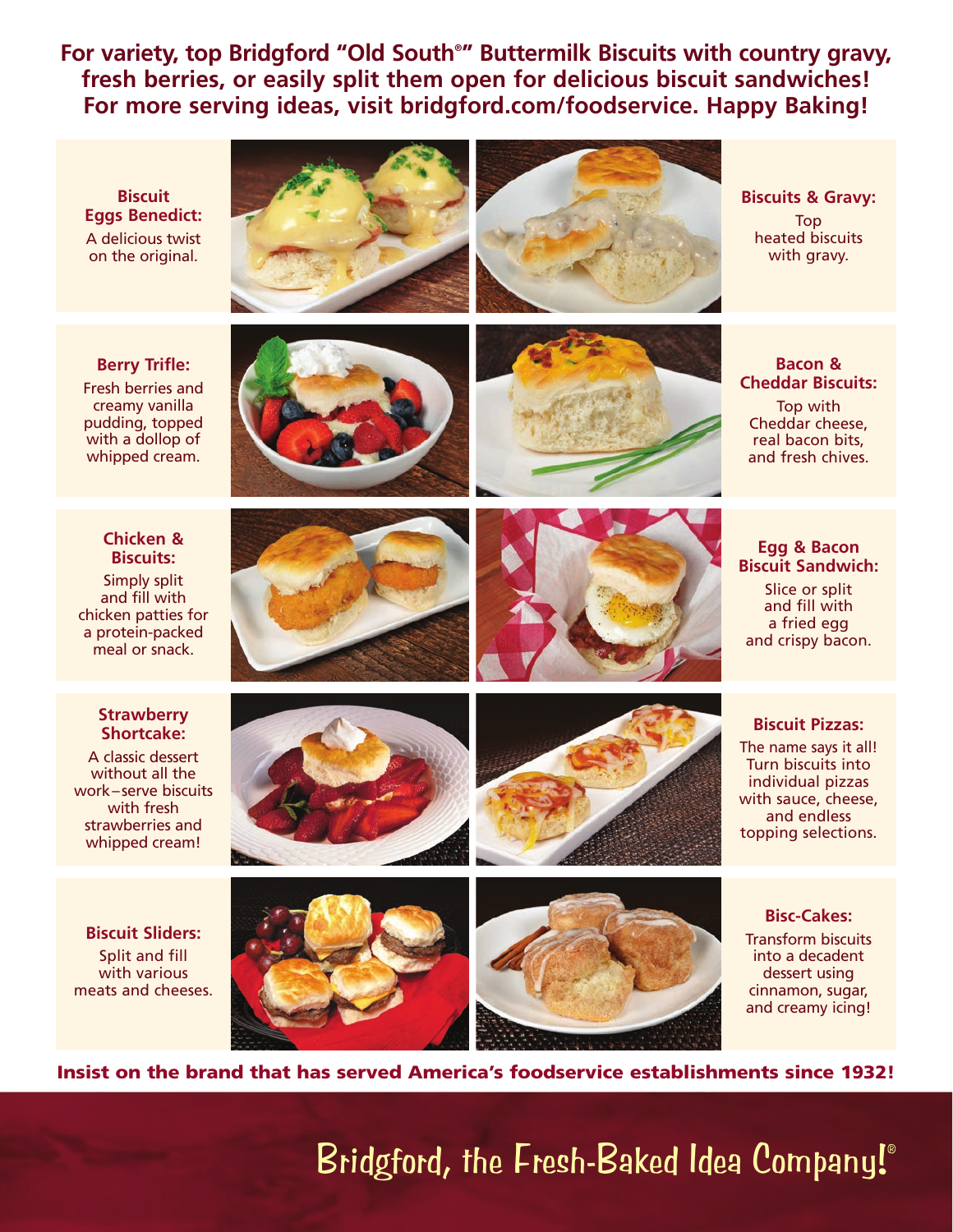**For variety, top Bridgford "Old South® " Buttermilk Biscuits with country gravy, fresh berries, or easily split them open for delicious biscuit sandwiches! For more serving ideas, visit bridgford.com/foodservice. Happy Baking!**

**Biscuit Eggs Benedict:** A delicious twist on the original.





**Biscuits & Gravy:** Top heated biscuits with gravy.

**Berry Trifle:** Fresh berries and creamy vanilla pudding, topped with a dollop of whipped cream.





**Bacon & Cheddar Biscuits:**

Top with Cheddar cheese, real bacon bits, and fresh chives.

## **Chicken & Biscuits:**

Simply split and fill with chicken patties for a protein-packed meal or snack.





**Egg & Bacon Biscuit Sandwich:**

Slice or split and fill with a fried egg and crispy bacon.

**Strawberry Shortcake:**

A classic dessert without all the work–serve biscuits with fresh strawberries and whipped cream!





## **Biscuit Pizzas:**

The name says it all! Turn biscuits into individual pizzas with sauce, cheese, and endless topping selections.

**Biscuit Sliders:** Split and fill with various meats and cheeses.





**Bisc-Cakes:** Transform biscuits into a decadent dessert using cinnamon, sugar, and creamy icing!

**Insist on the brand that has served America's foodservice establishments since 1932!**

Bridgford, the Fresh-Baked Idea Company!®